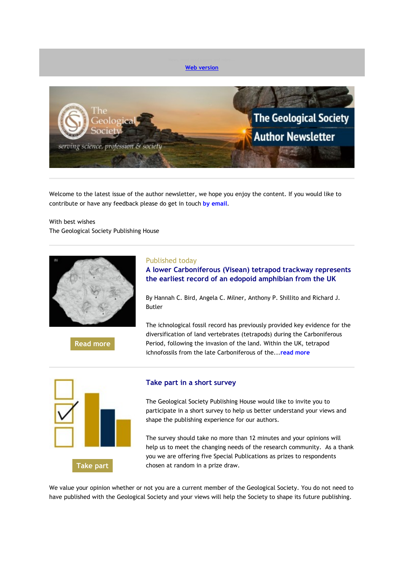

Welcome to the latest issue of the author newsletter, we hope you enjoy the content. If you would like to contribute or have any feedback please do get in touch **[by email](mailto:marketing@geolsoc.org.uk?subject=Author%20Newsletter)**.

With best wishes The Geological Society Publishing House



**[Read more](https://eur01.safelinks.protection.outlook.com/?url=http%3A%2F%2Fgeologicalsociety.msgfocus.com%2Fc%2F13SDRSwG6v4WYyOfeEF6&data=02%7C01%7Clucy.pullen%40geolsoc.org.uk%7Cc7df0363e92b4791e41308d79454d20e%7C8793af0570194bd4bcbe1895301e92f9%7C0%7C0%7C637140964337265796&sdata=vGXkorUfDGgP76O2QHN%2BfvkPCsnMgPiVTxTvfU%2B%2BS5s%3D&reserved=0)**

Published today

**A lower Carboniferous (Visean) tetrapod trackway represents the earliest record of an edopoid amphibian from the UK**

By Hannah C. Bird, Angela C. Milner, Anthony P. Shillito and Richard J. Butler

The ichnological fossil record has previously provided key evidence for the diversification of land vertebrates (tetrapods) during the Carboniferous Period, following the invasion of the land. Within the UK, tetrapod ichnofossils from the late Carboniferous of the...**[read more](https://eur01.safelinks.protection.outlook.com/?url=http%3A%2F%2Fgeologicalsociety.msgfocus.com%2Fc%2F13SDTqCURz4VTjd3t6gd&data=02%7C01%7Clucy.pullen%40geolsoc.org.uk%7Cc7df0363e92b4791e41308d79454d20e%7C8793af0570194bd4bcbe1895301e92f9%7C0%7C0%7C637140964337275791&sdata=mzMSXUZqZTsctmvuXZid7r1gUcD6I44eRAYK71T99Ao%3D&reserved=0)**



### **Take part in a short survey**

The Geological Society Publishing House would like to invite you to participate in a short survey to help us better understand your views and shape the publishing experience for our authors.

The survey should take no more than 12 minutes and your opinions will help us to meet the changing needs of the research community. As a thank you we are offering five Special Publications as prizes to respondents chosen at random in a prize draw.

We value your opinion whether or not you are a current member of the Geological Society. You do not need to have published with the Geological Society and your views will help the Society to shape its future publishing.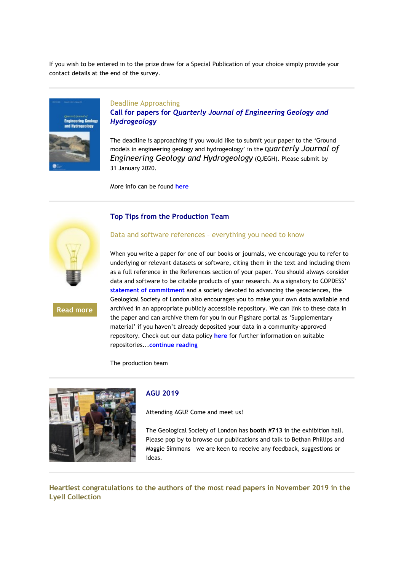If you wish to be entered in to the prize draw for a Special Publication of your choice simply provide your contact details at the end of the survey.



### Deadline Approaching

**Call for papers for** *Quarterly Journal of Engineering Geology and Hydrogeology*

The deadline is approaching if you would like to submit your paper to the 'Ground models in engineering geology and hydrogeology' in the Q*uarterly Journal of Engineering Geology and Hydrogeology* (QJEGH). Please submit by 31 January 2020.

More info can be found **[here](https://eur01.safelinks.protection.outlook.com/?url=http%3A%2F%2Fgeologicalsociety.msgfocus.com%2Fc%2F13SE1b86ET4Qt3d6DkfM&data=02%7C01%7Clucy.pullen%40geolsoc.org.uk%7Cc7df0363e92b4791e41308d79454d20e%7C8793af0570194bd4bcbe1895301e92f9%7C0%7C0%7C637140964337295781&sdata=hq5T1IoE7ZFgsGvGVcqj2IeU9CUxT7eGBt1sh5jV1j4%3D&reserved=0)**



**[Read more](https://eur01.safelinks.protection.outlook.com/?url=http%3A%2F%2Fgeologicalsociety.msgfocus.com%2Fc%2F13SE4hkAb14Oiy0J6ds0&data=02%7C01%7Clucy.pullen%40geolsoc.org.uk%7Cc7df0363e92b4791e41308d79454d20e%7C8793af0570194bd4bcbe1895301e92f9%7C0%7C0%7C637140964337305773&sdata=%2BOLQec1kc3rQ4v4ojNJWl%2BQyAUejBVRss7s9T2FAshQ%3D&reserved=0)**

#### **Top Tips from the Production Team**

#### Data and software references – everything you need to know

When you write a paper for one of our books or journals, we encourage you to refer to underlying or relevant datasets or software, citing them in the text and including them as a full reference in the References section of your paper. You should always consider data and software to be citable products of your research. As a signatory to COPDESS' **[statement of commitment](https://eur01.safelinks.protection.outlook.com/?url=http%3A%2F%2Fgeologicalsociety.msgfocus.com%2Fc%2F13SE5PqOW54NdipxkF37&data=02%7C01%7Clucy.pullen%40geolsoc.org.uk%7Cc7df0363e92b4791e41308d79454d20e%7C8793af0570194bd4bcbe1895301e92f9%7C0%7C0%7C637140964337305773&sdata=WGVDHKeCZKjcHFDOQ%2FQ4tCDaBgBesL3WmtJ2GYUkyvg%3D&reserved=0)** and a society devoted to advancing the geosciences, the Geological Society of London also encourages you to make your own data available and archived in an appropriate publicly accessible repository. We can link to these data in the paper and can archive them for you in our Figshare portal as 'Supplementary material' if you haven't already deposited your data in a community-approved repository. Check out our data policy **[here](https://eur01.safelinks.protection.outlook.com/?url=http%3A%2F%2Fgeologicalsociety.msgfocus.com%2Fc%2F13SE7nx3H94M82Olz6Ee&data=02%7C01%7Clucy.pullen%40geolsoc.org.uk%7Cc7df0363e92b4791e41308d79454d20e%7C8793af0570194bd4bcbe1895301e92f9%7C0%7C0%7C637140964337305773&sdata=OqoRisoWKHmIR3BOwsIQCpAVEHe7luXWgR2kEMeoeGw%3D&reserved=0)** for further information on suitable repositories...**[continue reading](https://eur01.safelinks.protection.outlook.com/?url=http%3A%2F%2Fgeologicalsociety.msgfocus.com%2Fc%2F13SE8VDisd4L2Nd9Nyfl&data=02%7C01%7Clucy.pullen%40geolsoc.org.uk%7Cc7df0363e92b4791e41308d79454d20e%7C8793af0570194bd4bcbe1895301e92f9%7C0%7C0%7C637140964337315766&sdata=qq60f7YpVy9ct%2BFjE6RttZCabtwYZYqrMN2SCvOvuEI%3D&reserved=0)**

The production team



### **AGU 2019**

Attending AGU? Come and meet us!

The Geological Society of London has **booth #713** in the exhibition hall. Please pop by to browse our publications and talk to Bethan Phillips and Maggie Simmons – we are keen to receive any feedback, suggestions or ideas.

**Heartiest congratulations to the authors of the most read papers in November 2019 in the Lyell Collection**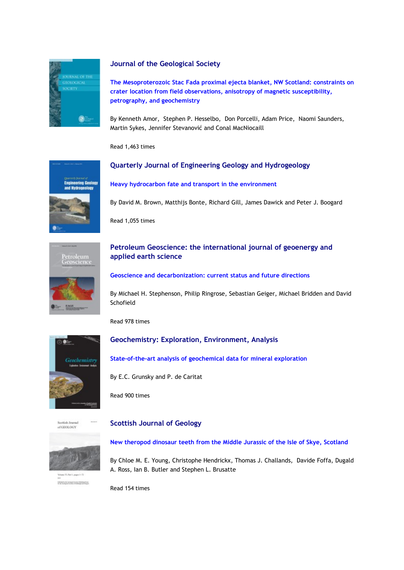

## **Journal of the Geological Society**

**[The Mesoproterozoic Stac Fada proximal ejecta blanket, NW Scotland: constraints on](https://eur01.safelinks.protection.outlook.com/?url=http%3A%2F%2Fgeologicalsociety.msgfocus.com%2Fc%2F13SEc1PLYl4ISi0Mgrrz&data=02%7C01%7Clucy.pullen%40geolsoc.org.uk%7Cc7df0363e92b4791e41308d79454d20e%7C8793af0570194bd4bcbe1895301e92f9%7C0%7C0%7C637140964337325760&sdata=byh5f%2BlKVXAxjFcDFAaFjzvY1QqiZXJGEZ5NCOdu6QQ%3D&reserved=0)  [crater location from field observations, anisotropy of magnetic susceptibility,](https://eur01.safelinks.protection.outlook.com/?url=http%3A%2F%2Fgeologicalsociety.msgfocus.com%2Fc%2F13SEc1PLYl4ISi0Mgrrz&data=02%7C01%7Clucy.pullen%40geolsoc.org.uk%7Cc7df0363e92b4791e41308d79454d20e%7C8793af0570194bd4bcbe1895301e92f9%7C0%7C0%7C637140964337325760&sdata=byh5f%2BlKVXAxjFcDFAaFjzvY1QqiZXJGEZ5NCOdu6QQ%3D&reserved=0)  [petrography, and geochemistry](https://eur01.safelinks.protection.outlook.com/?url=http%3A%2F%2Fgeologicalsociety.msgfocus.com%2Fc%2F13SEc1PLYl4ISi0Mgrrz&data=02%7C01%7Clucy.pullen%40geolsoc.org.uk%7Cc7df0363e92b4791e41308d79454d20e%7C8793af0570194bd4bcbe1895301e92f9%7C0%7C0%7C637140964337325760&sdata=byh5f%2BlKVXAxjFcDFAaFjzvY1QqiZXJGEZ5NCOdu6QQ%3D&reserved=0)**

By Kenneth Amor, Stephen P. Hesselbo, Don Porcelli, Adam Price, Naomi Saunders, Martin Sykes, Jennifer Stevanović and Conal MacNiocaill

Read 1,463 times



**[Heavy hydrocarbon fate and transport in the environment](https://eur01.safelinks.protection.outlook.com/?url=http%3A%2F%2Fgeologicalsociety.msgfocus.com%2Fc%2F13SEgG8ufx4FCxdcXMeU&data=02%7C01%7Clucy.pullen%40geolsoc.org.uk%7Cc7df0363e92b4791e41308d79454d20e%7C8793af0570194bd4bcbe1895301e92f9%7C0%7C0%7C637140964337335758&sdata=%2F3W0gq%2BNDpDC%2FfTZDSNbmMcH0SkG%2BSjpTWWwyHH5C%2Fg%3D&reserved=0)**

**Quarterly Journal of Engineering Geology and Hydrogeology**

By David M. Brown, Matthijs Bonte, Richard Gill, James Dawick and Peter J. Boogard

Read 1,055 times



# **Petroleum Geoscience: the international journal of geoenergy and applied earth science**

#### **[Geoscience and decarbonization: current status and future directions](https://eur01.safelinks.protection.outlook.com/?url=http%3A%2F%2Fgeologicalsociety.msgfocus.com%2Fc%2F13SEjMkXLF4Ds20PqFr8&data=02%7C01%7Clucy.pullen%40geolsoc.org.uk%7Cc7df0363e92b4791e41308d79454d20e%7C8793af0570194bd4bcbe1895301e92f9%7C0%7C0%7C637140964337345757&sdata=Ro0pQrCLOM10ka5af6SgbXMgipoQnuMvNtZanr2cOuQ%3D&reserved=0)**

By Michael H. Stephenson, Philip Ringrose, Sebastian Geiger, Michael Bridden and David Schofield

Read 978 times



# **Geochemistry: Exploration, Environment, Analysis**

**[State-of-the-art analysis of geochemical data for mineral exploration](https://eur01.safelinks.protection.outlook.com/?url=http%3A%2F%2Fgeologicalsociety.msgfocus.com%2Fc%2F13SEmSxrhN4BhwOrTyDm&data=02%7C01%7Clucy.pullen%40geolsoc.org.uk%7Cc7df0363e92b4791e41308d79454d20e%7C8793af0570194bd4bcbe1895301e92f9%7C0%7C0%7C637140964337345757&sdata=lr1q8GsZ8sShUlAl7xDeYb9oaFNfM6sxG%2Fpom%2BLs22Q%3D&reserved=0)**

By E.C. Grunsky and P. de Caritat

Read 900 times



### **Scottish Journal of Geology**



**Information for the fight for the Publisher Corp.** 

**[New theropod dinosaur teeth from the Middle Jurassic of the Isle of Skye, Scotland](https://eur01.safelinks.protection.outlook.com/?url=http%3A%2F%2Fgeologicalsociety.msgfocus.com%2Fc%2F13SEpYJUNV4z71C4mrPA&data=02%7C01%7Clucy.pullen%40geolsoc.org.uk%7Cc7df0363e92b4791e41308d79454d20e%7C8793af0570194bd4bcbe1895301e92f9%7C0%7C0%7C637140964337355745&sdata=nAe6H%2BAd4rrdGX02btnyjrwRhA3nLBdAgyJgDCb%2FdPQ%3D&reserved=0)**

By Chloe M. E. Young, Christophe Hendrickx, Thomas J. Challands, Davide Foffa, Dugald A. Ross, Ian B. Butler and Stephen L. Brusatte

Read 154 times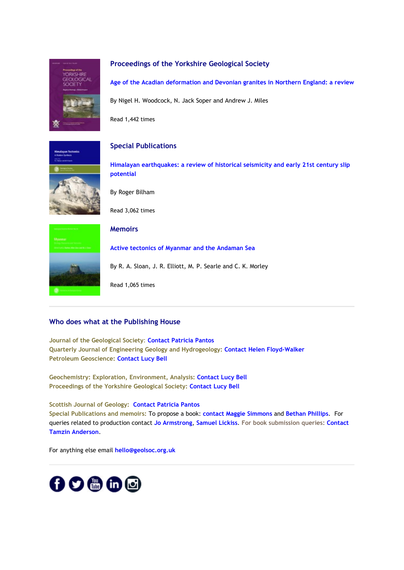

## **Proceedings of the Yorkshire Geological Society**

**[Age of the Acadian deformation and Devonian granites in Northern England: a review](https://eur01.safelinks.protection.outlook.com/?url=http%3A%2F%2Fgeologicalsociety.msgfocus.com%2Fc%2F13SEt4Wok34wWwpGPl1O&data=02%7C01%7Clucy.pullen%40geolsoc.org.uk%7Cc7df0363e92b4791e41308d79454d20e%7C8793af0570194bd4bcbe1895301e92f9%7C0%7C0%7C637140964337365740&sdata=P1dJq5ClpfnnlDX4O8aH%2FnVP76Bitw89ztPy8xrQJ94%3D&reserved=0)**

By Nigel H. Woodcock, N. Jack Soper and Andrew J. Miles

Read 1,442 times

**Special Publications**



**[Himalayan earthquakes: a review of historical seismicity and early 21st century slip](https://eur01.safelinks.protection.outlook.com/?url=http%3A%2F%2Fgeologicalsociety.msgfocus.com%2Fc%2F13SExJf6Bf4tGLC7wFP9&data=02%7C01%7Clucy.pullen%40geolsoc.org.uk%7Cc7df0363e92b4791e41308d79454d20e%7C8793af0570194bd4bcbe1895301e92f9%7C0%7C0%7C637140964337375732&sdata=SaTP7llsXW4%2BdpSZKn6EUwYmgCiWti43Mp9qosi%2BRJY%3D&reserved=0)  [potential](https://eur01.safelinks.protection.outlook.com/?url=http%3A%2F%2Fgeologicalsociety.msgfocus.com%2Fc%2F13SExJf6Bf4tGLC7wFP9&data=02%7C01%7Clucy.pullen%40geolsoc.org.uk%7Cc7df0363e92b4791e41308d79454d20e%7C8793af0570194bd4bcbe1895301e92f9%7C0%7C0%7C637140964337375732&sdata=SaTP7llsXW4%2BdpSZKn6EUwYmgCiWti43Mp9qosi%2BRJY%3D&reserved=0)**

By Roger Bilham

Read 3,062 times

Read 1,065 times



**Memoirs [Active tectonics of Myanmar and the Andaman Sea](https://eur01.safelinks.protection.outlook.com/?url=http%3A%2F%2Fgeologicalsociety.msgfocus.com%2Fc%2F13SEAPrA7n4rwgpJZz1n&data=02%7C01%7Clucy.pullen%40geolsoc.org.uk%7Cc7df0363e92b4791e41308d79454d20e%7C8793af0570194bd4bcbe1895301e92f9%7C0%7C0%7C637140964337385729&sdata=b3LcUoBKqHMAp3BSv74O7T4wgFyMzN261X9PDXze%2B8E%3D&reserved=0)** By R. A. Sloan, J. R. Elliott, M. P. Searle and C. K. Morley

# **Who does what at the Publishing House**

**Journal of the Geological Society**: **[Contact Patricia Pantos](mailto:jgs@geolsoc.org.uk) Quarterly Journal of Engineering Geology and Hydrogeology[:](https://eur01.safelinks.protection.outlook.com/?url=http%3A%2F%2Fgeologicalsociety.msgfocus.com%2Fc%2F13SECnxOSr4qr0Oye0Cu&data=02%7C01%7Clucy.pullen%40geolsoc.org.uk%7Cc7df0363e92b4791e41308d79454d20e%7C8793af0570194bd4bcbe1895301e92f9%7C0%7C0%7C637140964337385729&sdata=TV1f2ePSo7GxqobMPJK8JxQIzkK0qoUd1D9KnQjRSLs%3D&reserved=0) [Contact Helen Floyd-Walker](https://eur01.safelinks.protection.outlook.com/?url=http%3A%2F%2Fgeologicalsociety.msgfocus.com%2Fc%2F13SECnxOSr4qr0Oye0Cu&data=02%7C01%7Clucy.pullen%40geolsoc.org.uk%7Cc7df0363e92b4791e41308d79454d20e%7C8793af0570194bd4bcbe1895301e92f9%7C0%7C0%7C637140964337385729&sdata=TV1f2ePSo7GxqobMPJK8JxQIzkK0qoUd1D9KnQjRSLs%3D&reserved=0) Petroleum Geoscience: [Contact Lucy Bell](mailto:pg@geolsoc.org.uk)**

**Geochemistry: Exploration, Environment, Analysis: [Contact Lucy Bell](mailto:geea@geolsoc.org.uk) Proceedings of the Yorkshire Geological Society: [Contact Lucy Bell](mailto:pygs@geolsoc.org.uk)**

**Scottish Journal of Geology: [Contact Patricia Pantos](mailto:sjg@geolsoc.org.uk) Special Publications and memoirs:** To propose a book: **[contact Maggie Simmons](mailto:maggie.simmons@geolsoc.org.uk)** and **[Bethan Phillips](mailto:bethan.phillips@geolsoc.org.uk)**. For queries related to production contact **[Jo Armstrong](mailto:jo.armstrong@geolsoc.org.uk)**, **[Samuel Lickiss](mailto:samuel.lickiss@geolsoc.org.uk)**. **For book submission queries: [Contact](mailto:EditorialOffice@geolsoc.org.uk)  [Tamzin Anderson](mailto:EditorialOffice@geolsoc.org.uk)**.

For anything else email **[hello@geolsoc.org.uk](mailto:hello@geolsoc.org.uk)**